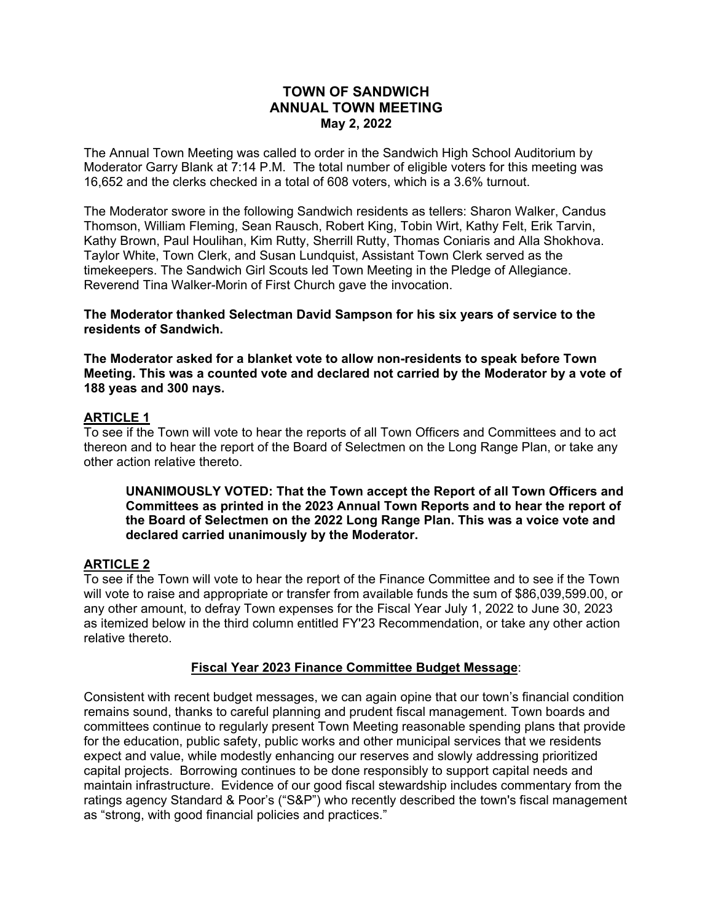## **TOWN OF SANDWICH ANNUAL TOWN MEETING May 2, 2022**

The Annual Town Meeting was called to order in the Sandwich High School Auditorium by Moderator Garry Blank at 7:14 P.M. The total number of eligible voters for this meeting was 16,652 and the clerks checked in a total of 608 voters, which is a 3.6% turnout.

The Moderator swore in the following Sandwich residents as tellers: Sharon Walker, Candus Thomson, William Fleming, Sean Rausch, Robert King, Tobin Wirt, Kathy Felt, Erik Tarvin, Kathy Brown, Paul Houlihan, Kim Rutty, Sherrill Rutty, Thomas Coniaris and Alla Shokhova. Taylor White, Town Clerk, and Susan Lundquist, Assistant Town Clerk served as the timekeepers. The Sandwich Girl Scouts led Town Meeting in the Pledge of Allegiance. Reverend Tina Walker-Morin of First Church gave the invocation.

**The Moderator thanked Selectman David Sampson for his six years of service to the residents of Sandwich.** 

**The Moderator asked for a blanket vote to allow non-residents to speak before Town Meeting. This was a counted vote and declared not carried by the Moderator by a vote of 188 yeas and 300 nays.** 

#### **ARTICLE 1**

To see if the Town will vote to hear the reports of all Town Officers and Committees and to act thereon and to hear the report of the Board of Selectmen on the Long Range Plan, or take any other action relative thereto.

**UNANIMOUSLY VOTED: That the Town accept the Report of all Town Officers and Committees as printed in the 2023 Annual Town Reports and to hear the report of the Board of Selectmen on the 2022 Long Range Plan. This was a voice vote and declared carried unanimously by the Moderator.** 

### **ARTICLE 2**

To see if the Town will vote to hear the report of the Finance Committee and to see if the Town will vote to raise and appropriate or transfer from available funds the sum of \$86,039,599.00, or any other amount, to defray Town expenses for the Fiscal Year July 1, 2022 to June 30, 2023 as itemized below in the third column entitled FY'23 Recommendation, or take any other action relative thereto.

#### **Fiscal Year 2023 Finance Committee Budget Message**:

Consistent with recent budget messages, we can again opine that our town's financial condition remains sound, thanks to careful planning and prudent fiscal management. Town boards and committees continue to regularly present Town Meeting reasonable spending plans that provide for the education, public safety, public works and other municipal services that we residents expect and value, while modestly enhancing our reserves and slowly addressing prioritized capital projects. Borrowing continues to be done responsibly to support capital needs and maintain infrastructure. Evidence of our good fiscal stewardship includes commentary from the ratings agency Standard & Poor's ("S&P") who recently described the town's fiscal management as "strong, with good financial policies and practices."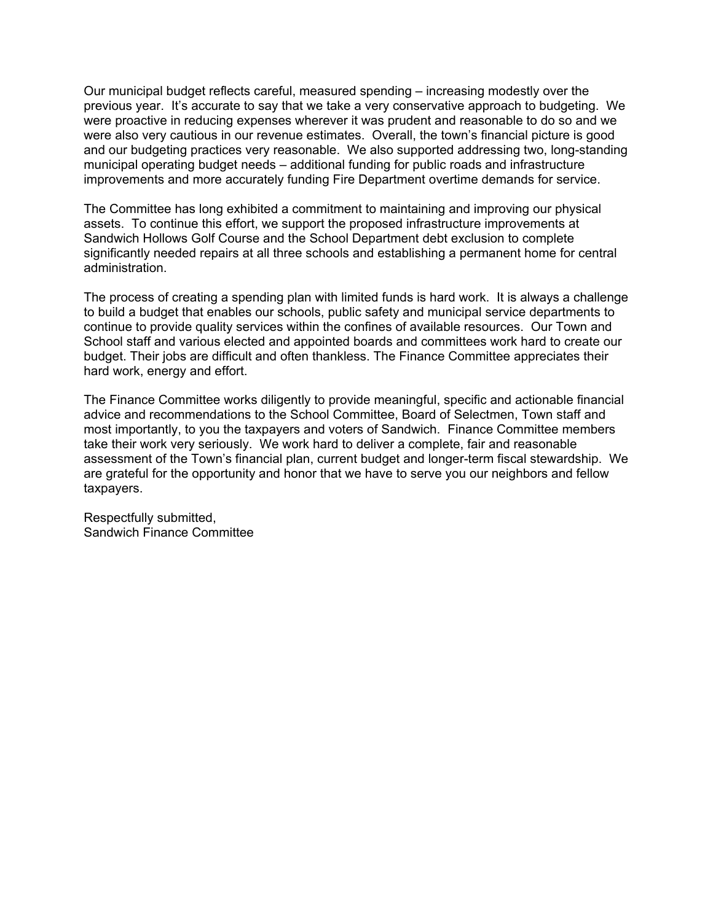Our municipal budget reflects careful, measured spending – increasing modestly over the previous year. It's accurate to say that we take a very conservative approach to budgeting. We were proactive in reducing expenses wherever it was prudent and reasonable to do so and we were also very cautious in our revenue estimates. Overall, the town's financial picture is good and our budgeting practices very reasonable. We also supported addressing two, long-standing municipal operating budget needs – additional funding for public roads and infrastructure improvements and more accurately funding Fire Department overtime demands for service.

The Committee has long exhibited a commitment to maintaining and improving our physical assets. To continue this effort, we support the proposed infrastructure improvements at Sandwich Hollows Golf Course and the School Department debt exclusion to complete significantly needed repairs at all three schools and establishing a permanent home for central administration.

The process of creating a spending plan with limited funds is hard work. It is always a challenge to build a budget that enables our schools, public safety and municipal service departments to continue to provide quality services within the confines of available resources. Our Town and School staff and various elected and appointed boards and committees work hard to create our budget. Their jobs are difficult and often thankless. The Finance Committee appreciates their hard work, energy and effort.

The Finance Committee works diligently to provide meaningful, specific and actionable financial advice and recommendations to the School Committee, Board of Selectmen, Town staff and most importantly, to you the taxpayers and voters of Sandwich. Finance Committee members take their work very seriously. We work hard to deliver a complete, fair and reasonable assessment of the Town's financial plan, current budget and longer-term fiscal stewardship. We are grateful for the opportunity and honor that we have to serve you our neighbors and fellow taxpayers.

Respectfully submitted, Sandwich Finance Committee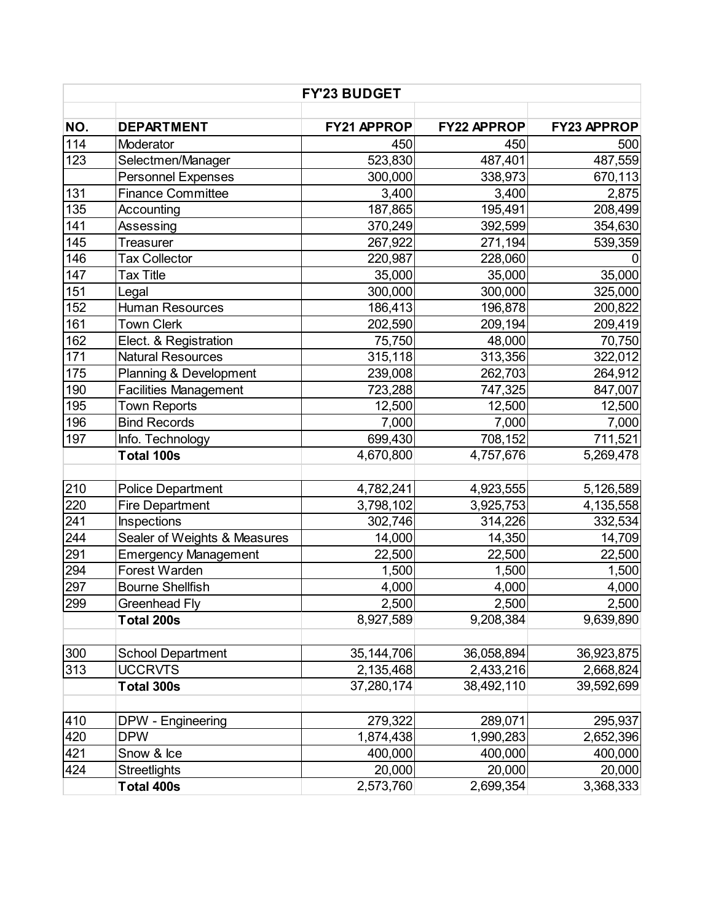| <b>FY'23 BUDGET</b> |                              |              |                    |                    |
|---------------------|------------------------------|--------------|--------------------|--------------------|
|                     |                              |              |                    |                    |
| NO.                 | <b>DEPARTMENT</b>            | FY21 APPROP  | <b>FY22 APPROP</b> | <b>FY23 APPROP</b> |
| 114                 | Moderator                    | 450          | 450                | 500                |
| 123                 | Selectmen/Manager            | 523,830      | 487,401            | 487,559            |
|                     | <b>Personnel Expenses</b>    | 300,000      | 338,973            | 670,113            |
| 131                 | <b>Finance Committee</b>     | 3,400        | 3,400              | 2,875              |
| 135                 | Accounting                   | 187,865      | 195,491            | 208,499            |
| 141                 | Assessing                    | 370,249      | 392,599            | 354,630            |
| 145                 | <b>Treasurer</b>             | 267,922      | 271,194            | 539,359            |
| 146                 | <b>Tax Collector</b>         | 220,987      | 228,060            |                    |
| 147                 | <b>Tax Title</b>             | 35,000       | 35,000             | 35,000             |
| 151                 | Legal                        | 300,000      | 300,000            | 325,000            |
| 152                 | <b>Human Resources</b>       | 186,413      | 196,878            | 200,822            |
| 161                 | <b>Town Clerk</b>            | 202,590      | 209,194            | 209,419            |
| 162                 | Elect. & Registration        | 75,750       | 48,000             | 70,750             |
| 171                 | <b>Natural Resources</b>     | 315,118      | 313,356            | 322,012            |
| 175                 | Planning & Development       | 239,008      | 262,703            | 264,912            |
| 190                 | <b>Facilities Management</b> | 723,288      | 747,325            | 847,007            |
| 195                 | <b>Town Reports</b>          | 12,500       | 12,500             | 12,500             |
| 196                 | <b>Bind Records</b>          | 7,000        | 7,000              | 7,000              |
| 197                 | Info. Technology             | 699,430      | 708,152            | 711,521            |
|                     | Total 100s                   | 4,670,800    | 4,757,676          | 5,269,478          |
| 210                 | <b>Police Department</b>     | 4,782,241    | 4,923,555          | 5,126,589          |
| 220                 | <b>Fire Department</b>       | 3,798,102    | 3,925,753          | 4,135,558          |
| 241                 | Inspections                  | 302,746      | 314,226            | 332,534            |
| 244                 | Sealer of Weights & Measures | 14,000       | 14,350             | 14,709             |
| 291                 | <b>Emergency Management</b>  | 22,500       | 22,500             | 22,500             |
| 294                 | <b>Forest Warden</b>         | 1,500        | 1,500              | 1,500              |
| 297                 | <b>Bourne Shellfish</b>      | 4,000        | 4,000              | 4,000              |
| 299                 | <b>Greenhead Fly</b>         | 2,500        | 2,500              | 2,500              |
|                     | Total 200s                   | 8,927,589    | 9,208,384          | 9,639,890          |
| 300                 | <b>School Department</b>     | 35, 144, 706 | 36,058,894         | 36,923,875         |
| 313                 | <b>UCCRVTS</b>               | 2,135,468    | 2,433,216          | 2,668,824          |
|                     | Total 300s                   | 37,280,174   | 38,492,110         | 39,592,699         |
| 410                 | DPW - Engineering            | 279,322      | 289,071            | 295,937            |
| 420                 | <b>DPW</b>                   | 1,874,438    | 1,990,283          | 2,652,396          |
| 421                 | Snow & Ice                   | 400,000      | 400,000            | 400,000            |
| 424                 | <b>Streetlights</b>          | 20,000       | 20,000             | 20,000             |
|                     | Total 400s                   | 2,573,760    | 2,699,354          | 3,368,333          |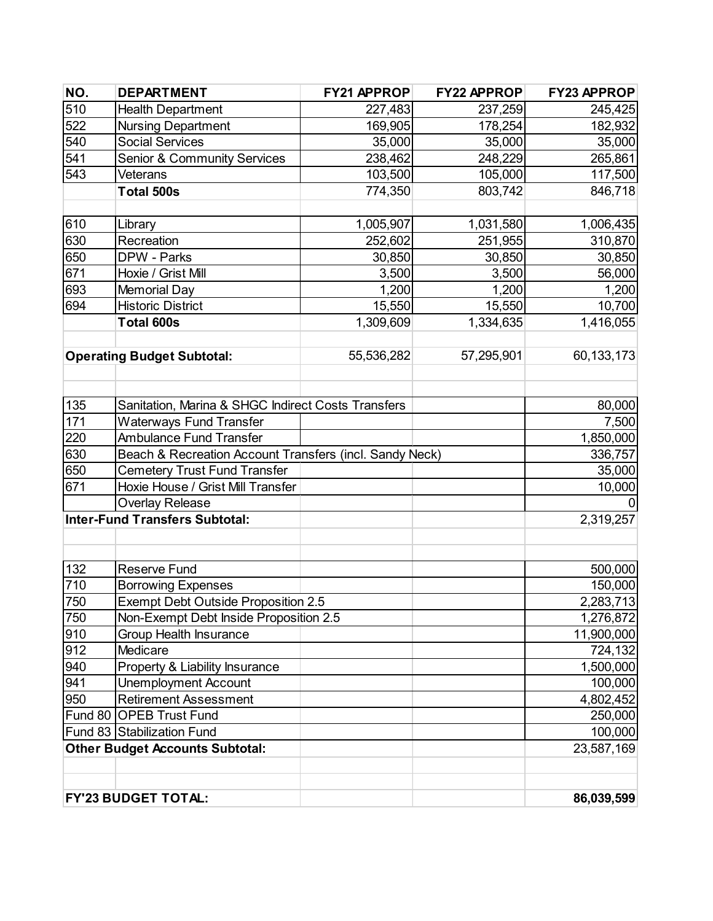| NO. | <b>DEPARTMENT</b>                                       | FY21 APPROP | FY22 APPROP | <b>FY23 APPROP</b> |
|-----|---------------------------------------------------------|-------------|-------------|--------------------|
| 510 | <b>Health Department</b>                                | 227,483     | 237,259     | 245,425            |
| 522 | <b>Nursing Department</b>                               | 169,905     | 178,254     | 182,932            |
| 540 | <b>Social Services</b>                                  | 35,000      | 35,000      | 35,000             |
| 541 | Senior & Community Services                             | 238,462     | 248,229     | 265,861            |
| 543 | Veterans                                                | 103,500     | 105,000     | 117,500            |
|     | Total 500s                                              | 774,350     | 803,742     | 846,718            |
| 610 | Library                                                 | 1,005,907   | 1,031,580   | 1,006,435          |
| 630 | Recreation                                              | 252,602     | 251,955     | 310,870            |
| 650 | DPW - Parks                                             | 30,850      | 30,850      | 30,850             |
| 671 | Hoxie / Grist Mill                                      | 3,500       | 3,500       | 56,000             |
| 693 | <b>Memorial Day</b>                                     | 1,200       | 1,200       | 1,200              |
| 694 | <b>Historic District</b>                                | 15,550      | 15,550      | 10,700             |
|     | Total 600s                                              | 1,309,609   | 1,334,635   | 1,416,055          |
|     |                                                         |             |             |                    |
|     | <b>Operating Budget Subtotal:</b>                       | 55,536,282  | 57,295,901  | 60,133,173         |
|     |                                                         |             |             |                    |
| 135 | Sanitation, Marina & SHGC Indirect Costs Transfers      |             |             | 80,000             |
| 171 | <b>Waterways Fund Transfer</b>                          |             |             | 7,500              |
| 220 | <b>Ambulance Fund Transfer</b>                          |             |             | 1,850,000          |
| 630 | Beach & Recreation Account Transfers (incl. Sandy Neck) |             |             | 336,757            |
| 650 | <b>Cemetery Trust Fund Transfer</b>                     |             |             | 35,000             |
| 671 | Hoxie House / Grist Mill Transfer                       |             |             | 10,000             |
|     | <b>Overlay Release</b>                                  |             |             |                    |
|     | <b>Inter-Fund Transfers Subtotal:</b>                   |             |             | 2,319,257          |
|     |                                                         |             |             |                    |
| 132 | <b>Reserve Fund</b>                                     |             |             | 500,000            |
| 710 | <b>Borrowing Expenses</b>                               |             |             | 150,000            |
| 750 | <b>Exempt Debt Outside Proposition 2.5</b>              |             |             | 2,283,713          |
| 750 | Non-Exempt Debt Inside Proposition 2.5                  |             |             | 1,276,872          |
| 910 | <b>Group Health Insurance</b>                           |             |             | 11,900,000         |
| 912 | Medicare                                                |             |             | 724,132            |
| 940 | Property & Liability Insurance                          |             |             | 1,500,000          |
| 941 | <b>Unemployment Account</b>                             |             |             | 100,000            |
| 950 | <b>Retirement Assessment</b>                            |             |             | 4,802,452          |
|     | Fund 80 OPEB Trust Fund                                 |             |             | 250,000            |
|     | Fund 83 Stabilization Fund                              |             |             | 100,000            |
|     | <b>Other Budget Accounts Subtotal:</b>                  |             |             | 23,587,169         |
|     |                                                         |             |             |                    |
|     | <b>FY'23 BUDGET TOTAL:</b>                              |             |             | 86,039,599         |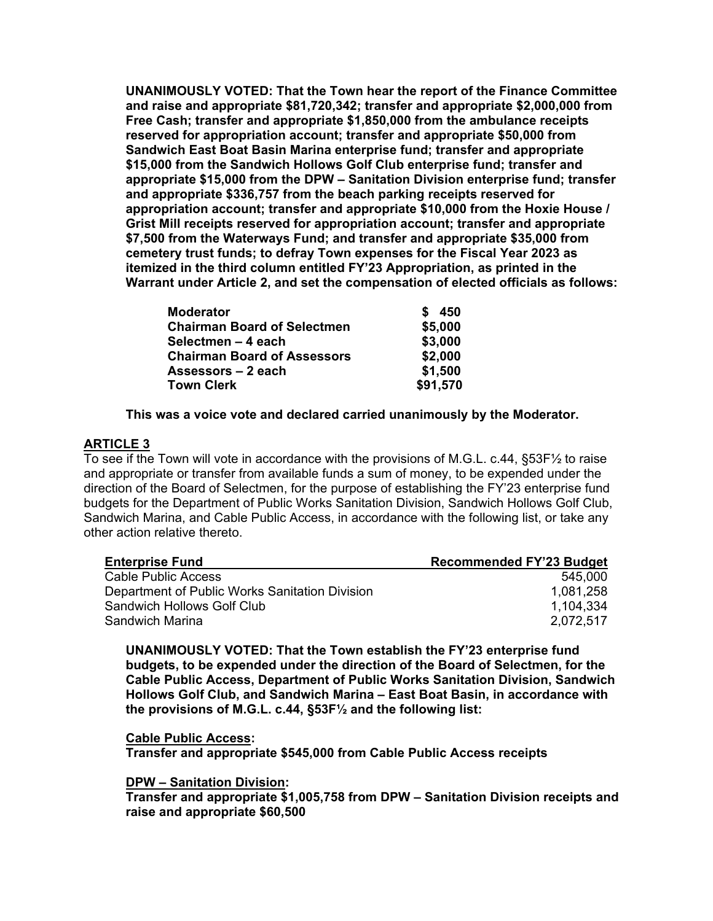**UNANIMOUSLY VOTED: That the Town hear the report of the Finance Committee and raise and appropriate \$81,720,342; transfer and appropriate \$2,000,000 from Free Cash; transfer and appropriate \$1,850,000 from the ambulance receipts reserved for appropriation account; transfer and appropriate \$50,000 from Sandwich East Boat Basin Marina enterprise fund; transfer and appropriate \$15,000 from the Sandwich Hollows Golf Club enterprise fund; transfer and appropriate \$15,000 from the DPW – Sanitation Division enterprise fund; transfer and appropriate \$336,757 from the beach parking receipts reserved for appropriation account; transfer and appropriate \$10,000 from the Hoxie House / Grist Mill receipts reserved for appropriation account; transfer and appropriate \$7,500 from the Waterways Fund; and transfer and appropriate \$35,000 from cemetery trust funds; to defray Town expenses for the Fiscal Year 2023 as itemized in the third column entitled FY'23 Appropriation, as printed in the Warrant under Article 2, and set the compensation of elected officials as follows:** 

| <b>Moderator</b>                   | 450      |
|------------------------------------|----------|
| <b>Chairman Board of Selectmen</b> | \$5,000  |
| Selectmen - 4 each                 | \$3,000  |
| <b>Chairman Board of Assessors</b> | \$2,000  |
| Assessors - 2 each                 | \$1,500  |
| <b>Town Clerk</b>                  | \$91,570 |

**This was a voice vote and declared carried unanimously by the Moderator.** 

#### **ARTICLE 3**

To see if the Town will vote in accordance with the provisions of M.G.L. c.44, §53F½ to raise and appropriate or transfer from available funds a sum of money, to be expended under the direction of the Board of Selectmen, for the purpose of establishing the FY'23 enterprise fund budgets for the Department of Public Works Sanitation Division, Sandwich Hollows Golf Club, Sandwich Marina, and Cable Public Access, in accordance with the following list, or take any other action relative thereto.

| <b>Enterprise Fund</b>                         | <b>Recommended FY'23 Budget</b> |
|------------------------------------------------|---------------------------------|
| <b>Cable Public Access</b>                     | 545,000                         |
| Department of Public Works Sanitation Division | 1,081,258                       |
| <b>Sandwich Hollows Golf Club</b>              | 1.104.334                       |
| Sandwich Marina                                | 2.072.517                       |

**UNANIMOUSLY VOTED: That the Town establish the FY'23 enterprise fund budgets, to be expended under the direction of the Board of Selectmen, for the Cable Public Access, Department of Public Works Sanitation Division, Sandwich Hollows Golf Club, and Sandwich Marina – East Boat Basin, in accordance with the provisions of M.G.L. c.44, §53F½ and the following list:** 

**Cable Public Access:** 

**Transfer and appropriate \$545,000 from Cable Public Access receipts** 

### **DPW – Sanitation Division:**

**Transfer and appropriate \$1,005,758 from DPW – Sanitation Division receipts and raise and appropriate \$60,500**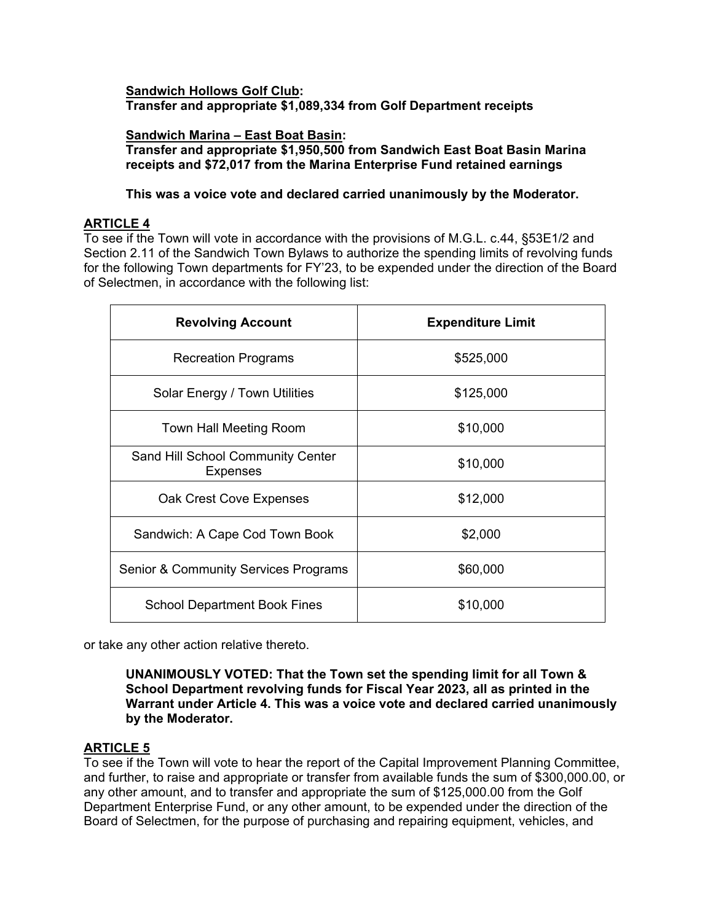### **Sandwich Hollows Golf Club: Transfer and appropriate \$1,089,334 from Golf Department receipts**

**Sandwich Marina – East Boat Basin: Transfer and appropriate \$1,950,500 from Sandwich East Boat Basin Marina receipts and \$72,017 from the Marina Enterprise Fund retained earnings** 

### **This was a voice vote and declared carried unanimously by the Moderator.**

## **ARTICLE 4**

To see if the Town will vote in accordance with the provisions of M.G.L. c.44, §53E1/2 and Section 2.11 of the Sandwich Town Bylaws to authorize the spending limits of revolving funds for the following Town departments for FY'23, to be expended under the direction of the Board of Selectmen, in accordance with the following list:

| <b>Revolving Account</b>                             | <b>Expenditure Limit</b> |
|------------------------------------------------------|--------------------------|
| <b>Recreation Programs</b>                           | \$525,000                |
| Solar Energy / Town Utilities                        | \$125,000                |
| Town Hall Meeting Room                               | \$10,000                 |
| Sand Hill School Community Center<br><b>Expenses</b> | \$10,000                 |
| Oak Crest Cove Expenses                              | \$12,000                 |
| Sandwich: A Cape Cod Town Book                       | \$2,000                  |
| <b>Senior &amp; Community Services Programs</b>      | \$60,000                 |
| <b>School Department Book Fines</b>                  | \$10,000                 |

or take any other action relative thereto.

**UNANIMOUSLY VOTED: That the Town set the spending limit for all Town & School Department revolving funds for Fiscal Year 2023, all as printed in the Warrant under Article 4. This was a voice vote and declared carried unanimously by the Moderator.** 

# **ARTICLE 5**

To see if the Town will vote to hear the report of the Capital Improvement Planning Committee, and further, to raise and appropriate or transfer from available funds the sum of \$300,000.00, or any other amount, and to transfer and appropriate the sum of \$125,000.00 from the Golf Department Enterprise Fund, or any other amount, to be expended under the direction of the Board of Selectmen, for the purpose of purchasing and repairing equipment, vehicles, and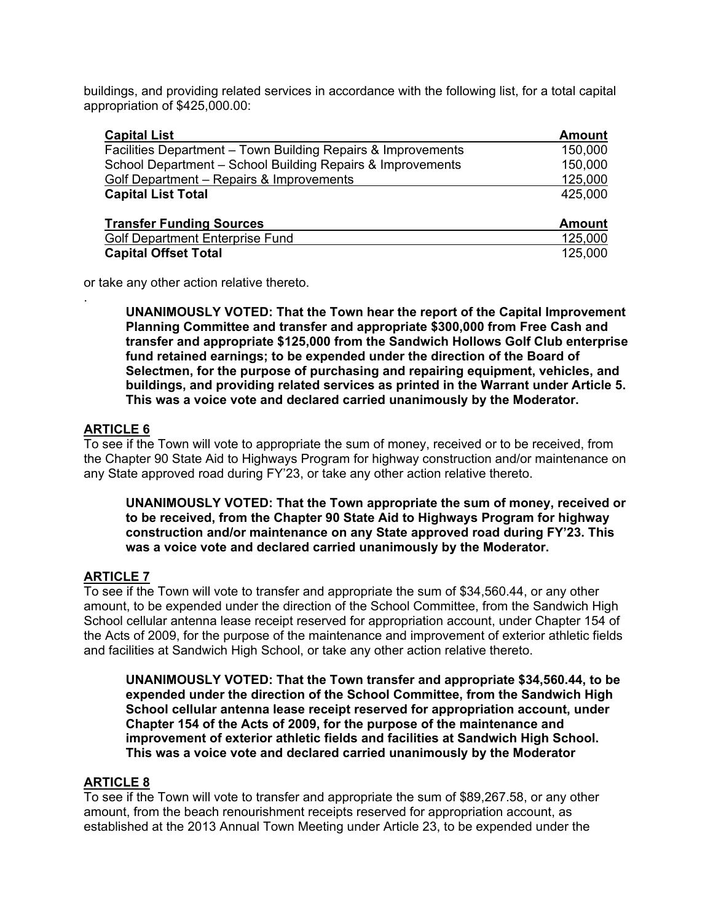buildings, and providing related services in accordance with the following list, for a total capital appropriation of \$425,000.00:

| <b>Capital List</b>                                          | <b>Amount</b> |
|--------------------------------------------------------------|---------------|
| Facilities Department – Town Building Repairs & Improvements | 150,000       |
| School Department - School Building Repairs & Improvements   | 150,000       |
| Golf Department - Repairs & Improvements                     | 125,000       |
| <b>Capital List Total</b>                                    | 425.000       |
| <b>Transfer Funding Sources</b>                              | <b>Amount</b> |
| <b>Golf Department Enterprise Fund</b>                       | 125,000       |
| <b>Capital Offset Total</b>                                  | 125,000       |

or take any other action relative thereto.

**UNANIMOUSLY VOTED: That the Town hear the report of the Capital Improvement Planning Committee and transfer and appropriate \$300,000 from Free Cash and transfer and appropriate \$125,000 from the Sandwich Hollows Golf Club enterprise fund retained earnings; to be expended under the direction of the Board of Selectmen, for the purpose of purchasing and repairing equipment, vehicles, and buildings, and providing related services as printed in the Warrant under Article 5. This was a voice vote and declared carried unanimously by the Moderator.** 

## **ARTICLE 6**

.

To see if the Town will vote to appropriate the sum of money, received or to be received, from the Chapter 90 State Aid to Highways Program for highway construction and/or maintenance on any State approved road during FY'23, or take any other action relative thereto.

**UNANIMOUSLY VOTED: That the Town appropriate the sum of money, received or to be received, from the Chapter 90 State Aid to Highways Program for highway construction and/or maintenance on any State approved road during FY'23. This was a voice vote and declared carried unanimously by the Moderator.** 

# **ARTICLE 7**

To see if the Town will vote to transfer and appropriate the sum of \$34,560.44, or any other amount, to be expended under the direction of the School Committee, from the Sandwich High School cellular antenna lease receipt reserved for appropriation account, under Chapter 154 of the Acts of 2009, for the purpose of the maintenance and improvement of exterior athletic fields and facilities at Sandwich High School, or take any other action relative thereto.

**UNANIMOUSLY VOTED: That the Town transfer and appropriate \$34,560.44, to be expended under the direction of the School Committee, from the Sandwich High School cellular antenna lease receipt reserved for appropriation account, under Chapter 154 of the Acts of 2009, for the purpose of the maintenance and improvement of exterior athletic fields and facilities at Sandwich High School. This was a voice vote and declared carried unanimously by the Moderator** 

### **ARTICLE 8**

To see if the Town will vote to transfer and appropriate the sum of \$89,267.58, or any other amount, from the beach renourishment receipts reserved for appropriation account, as established at the 2013 Annual Town Meeting under Article 23, to be expended under the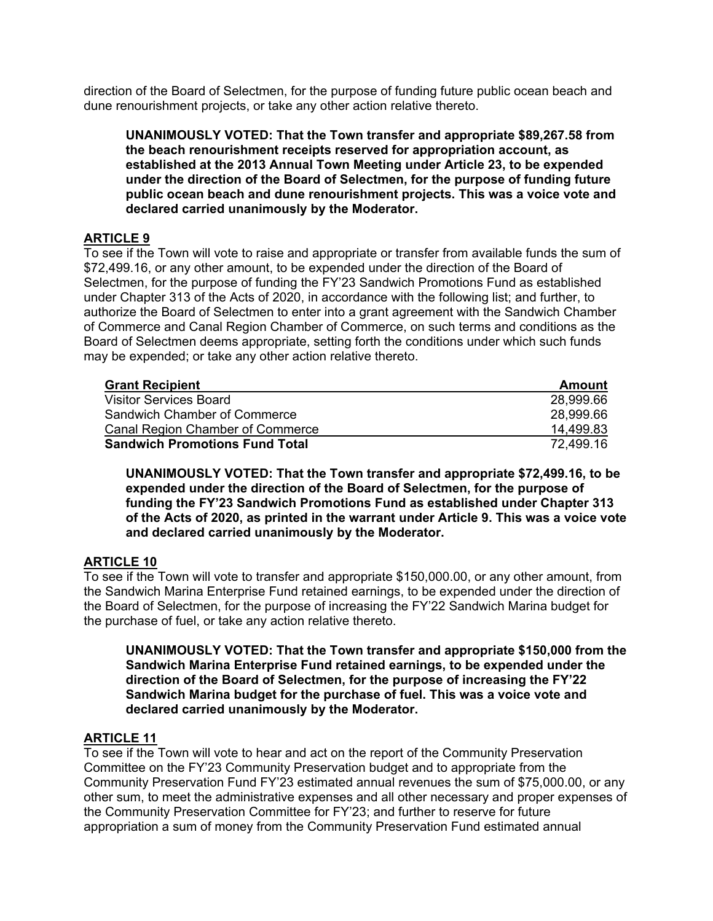direction of the Board of Selectmen, for the purpose of funding future public ocean beach and dune renourishment projects, or take any other action relative thereto.

**UNANIMOUSLY VOTED: That the Town transfer and appropriate \$89,267.58 from the beach renourishment receipts reserved for appropriation account, as established at the 2013 Annual Town Meeting under Article 23, to be expended under the direction of the Board of Selectmen, for the purpose of funding future public ocean beach and dune renourishment projects. This was a voice vote and declared carried unanimously by the Moderator.** 

# **ARTICLE 9**

To see if the Town will vote to raise and appropriate or transfer from available funds the sum of \$72,499.16, or any other amount, to be expended under the direction of the Board of Selectmen, for the purpose of funding the FY'23 Sandwich Promotions Fund as established under Chapter 313 of the Acts of 2020, in accordance with the following list; and further, to authorize the Board of Selectmen to enter into a grant agreement with the Sandwich Chamber of Commerce and Canal Region Chamber of Commerce, on such terms and conditions as the Board of Selectmen deems appropriate, setting forth the conditions under which such funds may be expended; or take any other action relative thereto.

| <b>Grant Recipient</b>                  | Amount    |
|-----------------------------------------|-----------|
| <b>Visitor Services Board</b>           | 28,999.66 |
| Sandwich Chamber of Commerce            | 28,999.66 |
| <b>Canal Region Chamber of Commerce</b> | 14.499.83 |
| <b>Sandwich Promotions Fund Total</b>   | 72.499.16 |

**UNANIMOUSLY VOTED: That the Town transfer and appropriate \$72,499.16, to be expended under the direction of the Board of Selectmen, for the purpose of funding the FY'23 Sandwich Promotions Fund as established under Chapter 313 of the Acts of 2020, as printed in the warrant under Article 9. This was a voice vote and declared carried unanimously by the Moderator.** 

# **ARTICLE 10**

To see if the Town will vote to transfer and appropriate \$150,000.00, or any other amount, from the Sandwich Marina Enterprise Fund retained earnings, to be expended under the direction of the Board of Selectmen, for the purpose of increasing the FY'22 Sandwich Marina budget for the purchase of fuel, or take any action relative thereto.

**UNANIMOUSLY VOTED: That the Town transfer and appropriate \$150,000 from the Sandwich Marina Enterprise Fund retained earnings, to be expended under the direction of the Board of Selectmen, for the purpose of increasing the FY'22 Sandwich Marina budget for the purchase of fuel. This was a voice vote and declared carried unanimously by the Moderator.** 

# **ARTICLE 11**

To see if the Town will vote to hear and act on the report of the Community Preservation Committee on the FY'23 Community Preservation budget and to appropriate from the Community Preservation Fund FY'23 estimated annual revenues the sum of \$75,000.00, or any other sum, to meet the administrative expenses and all other necessary and proper expenses of the Community Preservation Committee for FY'23; and further to reserve for future appropriation a sum of money from the Community Preservation Fund estimated annual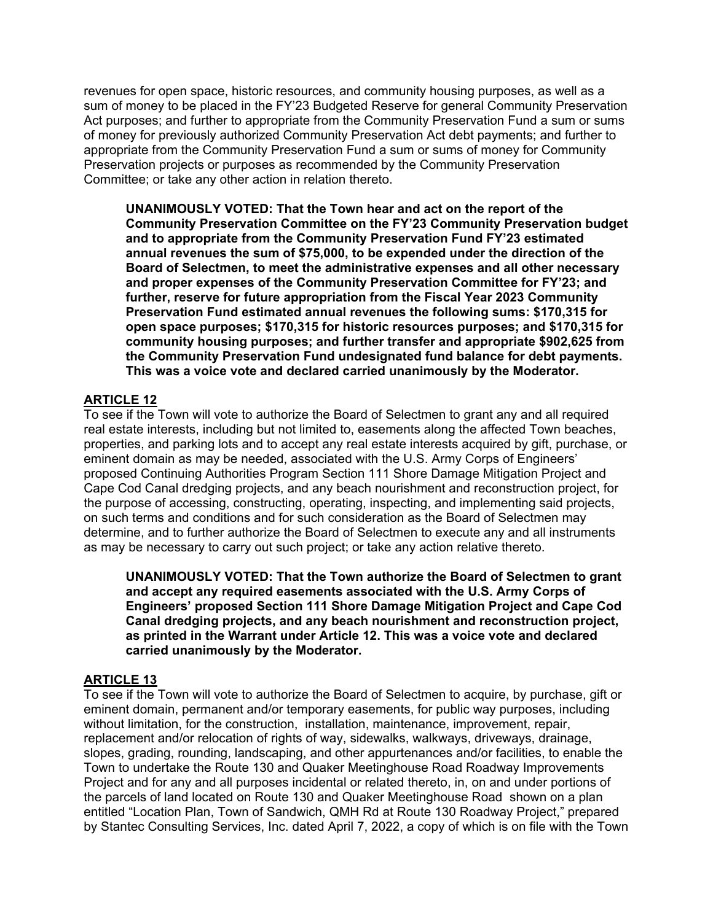revenues for open space, historic resources, and community housing purposes, as well as a sum of money to be placed in the FY'23 Budgeted Reserve for general Community Preservation Act purposes; and further to appropriate from the Community Preservation Fund a sum or sums of money for previously authorized Community Preservation Act debt payments; and further to appropriate from the Community Preservation Fund a sum or sums of money for Community Preservation projects or purposes as recommended by the Community Preservation Committee; or take any other action in relation thereto.

**UNANIMOUSLY VOTED: That the Town hear and act on the report of the Community Preservation Committee on the FY'23 Community Preservation budget and to appropriate from the Community Preservation Fund FY'23 estimated annual revenues the sum of \$75,000, to be expended under the direction of the Board of Selectmen, to meet the administrative expenses and all other necessary and proper expenses of the Community Preservation Committee for FY'23; and further, reserve for future appropriation from the Fiscal Year 2023 Community Preservation Fund estimated annual revenues the following sums: \$170,315 for open space purposes; \$170,315 for historic resources purposes; and \$170,315 for community housing purposes; and further transfer and appropriate \$902,625 from the Community Preservation Fund undesignated fund balance for debt payments. This was a voice vote and declared carried unanimously by the Moderator.** 

## **ARTICLE 12**

To see if the Town will vote to authorize the Board of Selectmen to grant any and all required real estate interests, including but not limited to, easements along the affected Town beaches, properties, and parking lots and to accept any real estate interests acquired by gift, purchase, or eminent domain as may be needed, associated with the U.S. Army Corps of Engineers' proposed Continuing Authorities Program Section 111 Shore Damage Mitigation Project and Cape Cod Canal dredging projects, and any beach nourishment and reconstruction project, for the purpose of accessing, constructing, operating, inspecting, and implementing said projects, on such terms and conditions and for such consideration as the Board of Selectmen may determine, and to further authorize the Board of Selectmen to execute any and all instruments as may be necessary to carry out such project; or take any action relative thereto.

**UNANIMOUSLY VOTED: That the Town authorize the Board of Selectmen to grant and accept any required easements associated with the U.S. Army Corps of Engineers' proposed Section 111 Shore Damage Mitigation Project and Cape Cod Canal dredging projects, and any beach nourishment and reconstruction project, as printed in the Warrant under Article 12. This was a voice vote and declared carried unanimously by the Moderator.** 

### **ARTICLE 13**

To see if the Town will vote to authorize the Board of Selectmen to acquire, by purchase, gift or eminent domain, permanent and/or temporary easements, for public way purposes, including without limitation, for the construction, installation, maintenance, improvement, repair, replacement and/or relocation of rights of way, sidewalks, walkways, driveways, drainage, slopes, grading, rounding, landscaping, and other appurtenances and/or facilities, to enable the Town to undertake the Route 130 and Quaker Meetinghouse Road Roadway Improvements Project and for any and all purposes incidental or related thereto, in, on and under portions of the parcels of land located on Route 130 and Quaker Meetinghouse Road shown on a plan entitled "Location Plan, Town of Sandwich, QMH Rd at Route 130 Roadway Project," prepared by Stantec Consulting Services, Inc. dated April 7, 2022, a copy of which is on file with the Town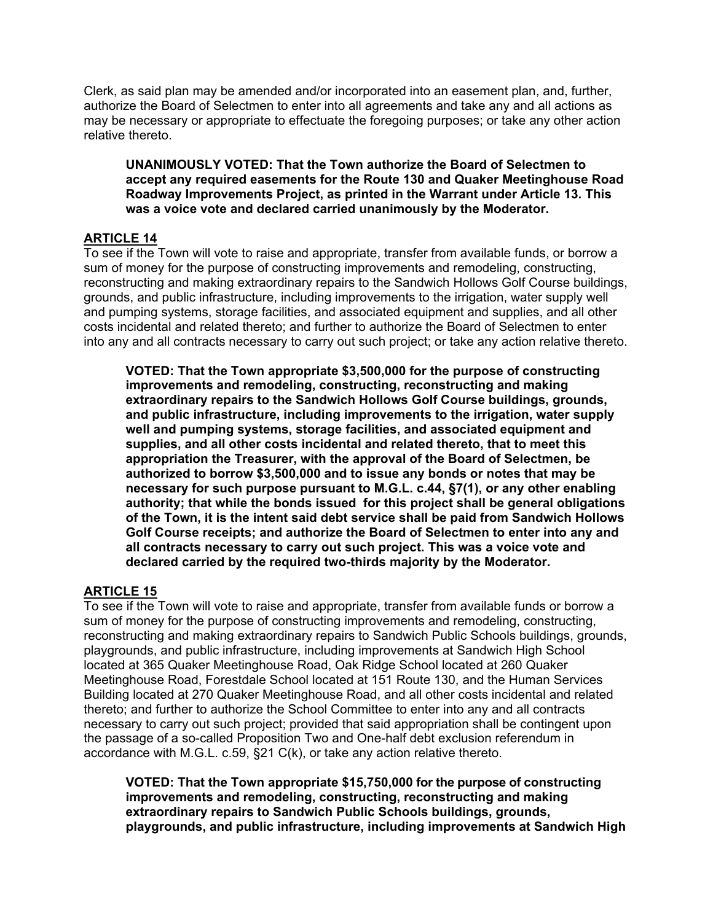Clerk, as said plan may be amended and/or incorporated into an easement plan, and, further, authorize the Board of Selectmen to enter into all agreements and take any and all actions as may be necessary or appropriate to effectuate the foregoing purposes; or take any other action relative thereto.

**UNANIMOUSLY VOTED: That the Town authorize the Board of Selectmen to accept any required easements for the Route 130 and Quaker Meetinghouse Road Roadway Improvements Project, as printed in the Warrant under Article 13. This was a voice vote and declared carried unanimously by the Moderator.** 

## **ARTICLE 14**

To see if the Town will vote to raise and appropriate, transfer from available funds, or borrow a sum of money for the purpose of constructing improvements and remodeling, constructing, reconstructing and making extraordinary repairs to the Sandwich Hollows Golf Course buildings, grounds, and public infrastructure, including improvements to the irrigation, water supply well and pumping systems, storage facilities, and associated equipment and supplies, and all other costs incidental and related thereto; and further to authorize the Board of Selectmen to enter into any and all contracts necessary to carry out such project; or take any action relative thereto.

**VOTED: That the Town appropriate \$3,500,000 for the purpose of constructing improvements and remodeling, constructing, reconstructing and making extraordinary repairs to the Sandwich Hollows Golf Course buildings, grounds, and public infrastructure, including improvements to the irrigation, water supply well and pumping systems, storage facilities, and associated equipment and supplies, and all other costs incidental and related thereto, that to meet this appropriation the Treasurer, with the approval of the Board of Selectmen, be authorized to borrow \$3,500,000 and to issue any bonds or notes that may be necessary for such purpose pursuant to M.G.L. c.44, §7(1), or any other enabling authority; that while the bonds issued for this project shall be general obligations of the Town, it is the intent said debt service shall be paid from Sandwich Hollows Golf Course receipts; and authorize the Board of Selectmen to enter into any and all contracts necessary to carry out such project. This was a voice vote and declared carried by the required two-thirds majority by the Moderator.** 

# **ARTICLE 15**

To see if the Town will vote to raise and appropriate, transfer from available funds or borrow a sum of money for the purpose of constructing improvements and remodeling, constructing, reconstructing and making extraordinary repairs to Sandwich Public Schools buildings, grounds, playgrounds, and public infrastructure, including improvements at Sandwich High School located at 365 Quaker Meetinghouse Road, Oak Ridge School located at 260 Quaker Meetinghouse Road, Forestdale School located at 151 Route 130, and the Human Services Building located at 270 Quaker Meetinghouse Road, and all other costs incidental and related thereto; and further to authorize the School Committee to enter into any and all contracts necessary to carry out such project; provided that said appropriation shall be contingent upon the passage of a so-called Proposition Two and One-half debt exclusion referendum in accordance with M.G.L. c.59, §21 C(k), or take any action relative thereto.

**VOTED: That the Town appropriate \$15,750,000 for the purpose of constructing improvements and remodeling, constructing, reconstructing and making extraordinary repairs to Sandwich Public Schools buildings, grounds, playgrounds, and public infrastructure, including improvements at Sandwich High**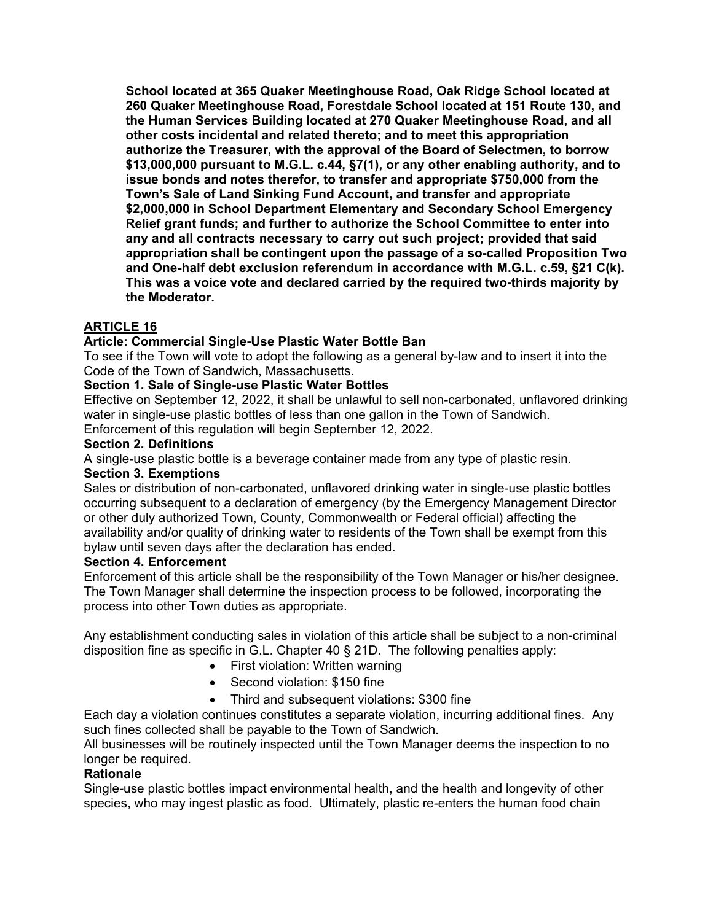**School located at 365 Quaker Meetinghouse Road, Oak Ridge School located at 260 Quaker Meetinghouse Road, Forestdale School located at 151 Route 130, and the Human Services Building located at 270 Quaker Meetinghouse Road, and all other costs incidental and related thereto; and to meet this appropriation authorize the Treasurer, with the approval of the Board of Selectmen, to borrow \$13,000,000 pursuant to M.G.L. c.44, §7(1), or any other enabling authority, and to issue bonds and notes therefor, to transfer and appropriate \$750,000 from the Town's Sale of Land Sinking Fund Account, and transfer and appropriate \$2,000,000 in School Department Elementary and Secondary School Emergency Relief grant funds; and further to authorize the School Committee to enter into any and all contracts necessary to carry out such project; provided that said appropriation shall be contingent upon the passage of a so-called Proposition Two and One-half debt exclusion referendum in accordance with M.G.L. c.59, §21 C(k). This was a voice vote and declared carried by the required two-thirds majority by the Moderator.** 

# **ARTICLE 16**

## **Article: Commercial Single-Use Plastic Water Bottle Ban**

To see if the Town will vote to adopt the following as a general by-law and to insert it into the Code of the Town of Sandwich, Massachusetts.

### **Section 1. Sale of Single-use Plastic Water Bottles**

Effective on September 12, 2022, it shall be unlawful to sell non-carbonated, unflavored drinking water in single-use plastic bottles of less than one gallon in the Town of Sandwich.

Enforcement of this regulation will begin September 12, 2022.

### **Section 2. Definitions**

A single-use plastic bottle is a beverage container made from any type of plastic resin.

### **Section 3. Exemptions**

Sales or distribution of non-carbonated, unflavored drinking water in single-use plastic bottles occurring subsequent to a declaration of emergency (by the Emergency Management Director or other duly authorized Town, County, Commonwealth or Federal official) affecting the availability and/or quality of drinking water to residents of the Town shall be exempt from this bylaw until seven days after the declaration has ended.

### **Section 4. Enforcement**

Enforcement of this article shall be the responsibility of the Town Manager or his/her designee. The Town Manager shall determine the inspection process to be followed, incorporating the process into other Town duties as appropriate.

Any establishment conducting sales in violation of this article shall be subject to a non-criminal disposition fine as specific in G.L. Chapter 40 § 21D. The following penalties apply:

- First violation: Written warning
- Second violation: \$150 fine
- Third and subsequent violations: \$300 fine

Each day a violation continues constitutes a separate violation, incurring additional fines. Any such fines collected shall be payable to the Town of Sandwich.

All businesses will be routinely inspected until the Town Manager deems the inspection to no longer be required.

### **Rationale**

Single-use plastic bottles impact environmental health, and the health and longevity of other species, who may ingest plastic as food. Ultimately, plastic re-enters the human food chain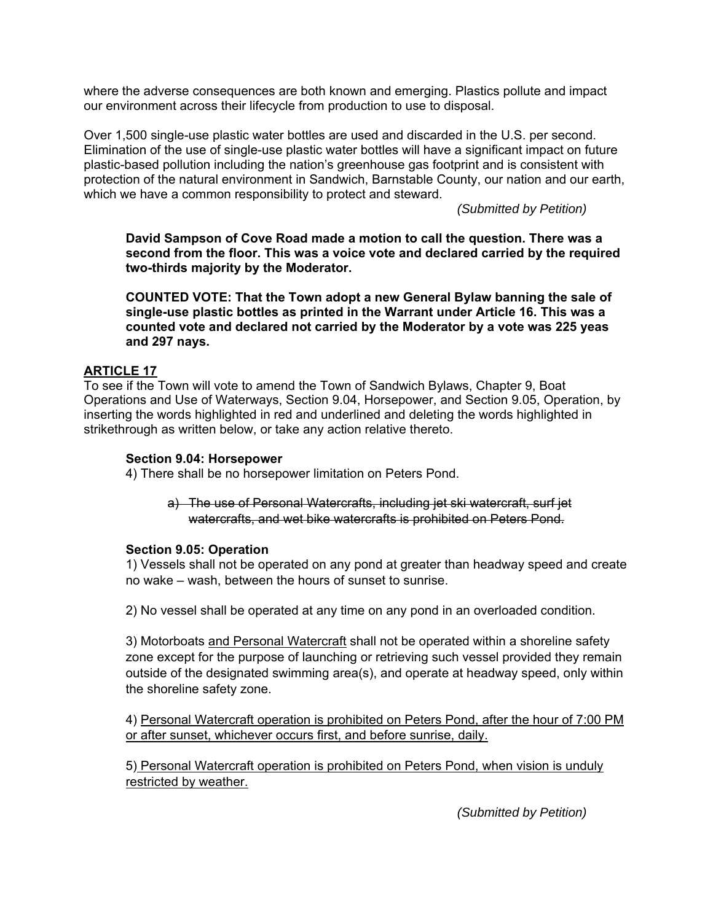where the adverse consequences are both known and emerging. Plastics pollute and impact our environment across their lifecycle from production to use to disposal.

Over 1,500 single-use plastic water bottles are used and discarded in the U.S. per second. Elimination of the use of single-use plastic water bottles will have a significant impact on future plastic-based pollution including the nation's greenhouse gas footprint and is consistent with protection of the natural environment in Sandwich, Barnstable County, our nation and our earth, which we have a common responsibility to protect and steward.

*(Submitted by Petition)* 

**David Sampson of Cove Road made a motion to call the question. There was a second from the floor. This was a voice vote and declared carried by the required two-thirds majority by the Moderator.** 

**COUNTED VOTE: That the Town adopt a new General Bylaw banning the sale of single-use plastic bottles as printed in the Warrant under Article 16. This was a counted vote and declared not carried by the Moderator by a vote was 225 yeas and 297 nays.** 

### **ARTICLE 17**

To see if the Town will vote to amend the Town of Sandwich Bylaws, Chapter 9, Boat Operations and Use of Waterways, Section 9.04, Horsepower, and Section 9.05, Operation, by inserting the words highlighted in red and underlined and deleting the words highlighted in strikethrough as written below, or take any action relative thereto.

#### **Section 9.04: Horsepower**

4) There shall be no horsepower limitation on Peters Pond.

a) The use of Personal Watercrafts, including jet ski watercraft, surf jet watercrafts, and wet bike watercrafts is prohibited on Peters Pond.

### **Section 9.05: Operation**

1) Vessels shall not be operated on any pond at greater than headway speed and create no wake – wash, between the hours of sunset to sunrise.

2) No vessel shall be operated at any time on any pond in an overloaded condition.

3) Motorboats and Personal Watercraft shall not be operated within a shoreline safety zone except for the purpose of launching or retrieving such vessel provided they remain outside of the designated swimming area(s), and operate at headway speed, only within the shoreline safety zone.

4) Personal Watercraft operation is prohibited on Peters Pond, after the hour of 7:00 PM or after sunset, whichever occurs first, and before sunrise, daily.

5) Personal Watercraft operation is prohibited on Peters Pond, when vision is unduly restricted by weather.

*(Submitted by Petition)*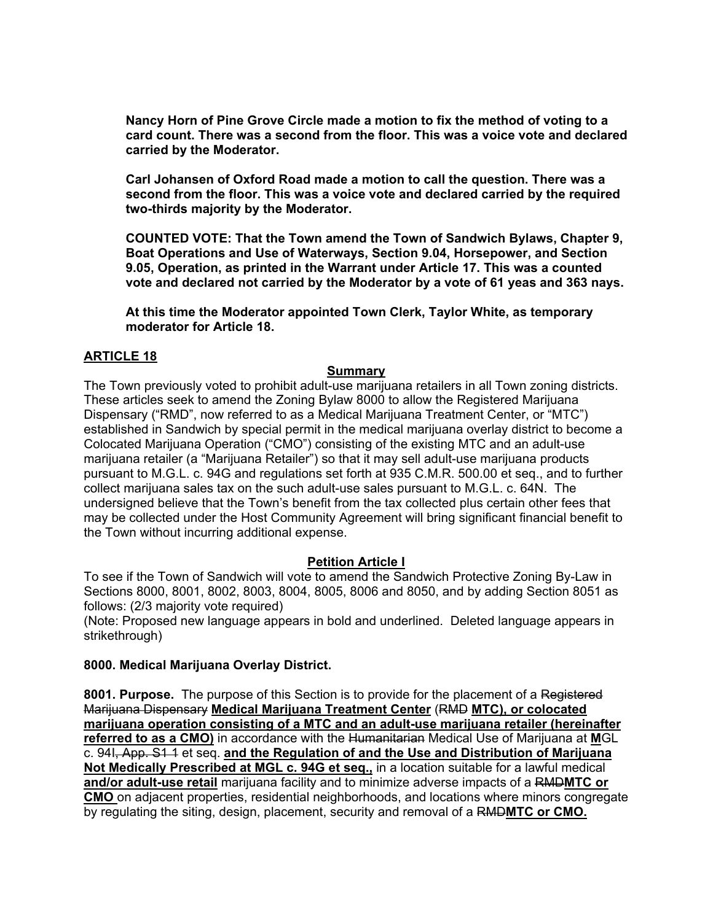**Nancy Horn of Pine Grove Circle made a motion to fix the method of voting to a card count. There was a second from the floor. This was a voice vote and declared carried by the Moderator.** 

**Carl Johansen of Oxford Road made a motion to call the question. There was a second from the floor. This was a voice vote and declared carried by the required two-thirds majority by the Moderator.** 

**COUNTED VOTE: That the Town amend the Town of Sandwich Bylaws, Chapter 9, Boat Operations and Use of Waterways, Section 9.04, Horsepower, and Section 9.05, Operation, as printed in the Warrant under Article 17. This was a counted vote and declared not carried by the Moderator by a vote of 61 yeas and 363 nays.** 

**At this time the Moderator appointed Town Clerk, Taylor White, as temporary moderator for Article 18.** 

### **ARTICLE 18**

#### **Summary**

The Town previously voted to prohibit adult-use marijuana retailers in all Town zoning districts. These articles seek to amend the Zoning Bylaw 8000 to allow the Registered Marijuana Dispensary ("RMD", now referred to as a Medical Marijuana Treatment Center, or "MTC") established in Sandwich by special permit in the medical marijuana overlay district to become a Colocated Marijuana Operation ("CMO") consisting of the existing MTC and an adult-use marijuana retailer (a "Marijuana Retailer") so that it may sell adult-use marijuana products pursuant to M.G.L. c. 94G and regulations set forth at 935 C.M.R. 500.00 et seq., and to further collect marijuana sales tax on the such adult-use sales pursuant to M.G.L. c. 64N. The undersigned believe that the Town's benefit from the tax collected plus certain other fees that may be collected under the Host Community Agreement will bring significant financial benefit to the Town without incurring additional expense.

### **Petition Article I**

To see if the Town of Sandwich will vote to amend the Sandwich Protective Zoning By-Law in Sections 8000, 8001, 8002, 8003, 8004, 8005, 8006 and 8050, and by adding Section 8051 as follows: (2/3 majority vote required)

(Note: Proposed new language appears in bold and underlined. Deleted language appears in strikethrough)

#### **8000. Medical Marijuana Overlay District.**

**8001. Purpose.** The purpose of this Section is to provide for the placement of a Registered Marijuana Dispensary **Medical Marijuana Treatment Center** (RMD **MTC), or colocated marijuana operation consisting of a MTC and an adult-use marijuana retailer (hereinafter referred to as a CMO)** in accordance with the Humanitarian Medical Use of Marijuana at **M**GL c. 94I, App. S1 1 et seq. **and the Regulation of and the Use and Distribution of Marijuana Not Medically Prescribed at MGL c. 94G et seq.,** in a location suitable for a lawful medical **and/or adult-use retail** marijuana facility and to minimize adverse impacts of a RMD**MTC or CMO** on adjacent properties, residential neighborhoods, and locations where minors congregate by regulating the siting, design, placement, security and removal of a RMD**MTC or CMO.**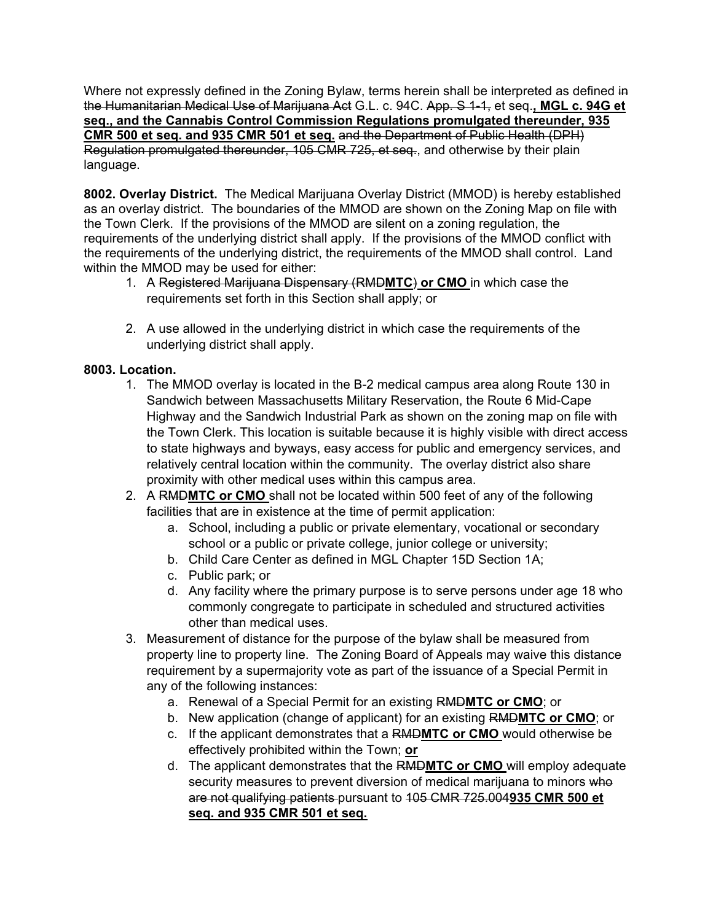Where not expressly defined in the Zoning Bylaw, terms herein shall be interpreted as defined in the Humanitarian Medical Use of Marijuana Act G.L. c. 94C. App. S 1-1, et seq.**, MGL c. 94G et seq., and the Cannabis Control Commission Regulations promulgated thereunder, 935 CMR 500 et seq. and 935 CMR 501 et seq.** and the Department of Public Health (DPH) Regulation promulgated thereunder, 105 CMR 725, et seq., and otherwise by their plain language.

**8002. Overlay District.** The Medical Marijuana Overlay District (MMOD) is hereby established as an overlay district. The boundaries of the MMOD are shown on the Zoning Map on file with the Town Clerk. If the provisions of the MMOD are silent on a zoning regulation, the requirements of the underlying district shall apply. If the provisions of the MMOD conflict with the requirements of the underlying district, the requirements of the MMOD shall control. Land within the MMOD may be used for either:

- 1. A Registered Marijuana Dispensary (RMD**MTC**) **or CMO** in which case the requirements set forth in this Section shall apply; or
- 2. A use allowed in the underlying district in which case the requirements of the underlying district shall apply.

# **8003. Location.**

- 1. The MMOD overlay is located in the B-2 medical campus area along Route 130 in Sandwich between Massachusetts Military Reservation, the Route 6 Mid-Cape Highway and the Sandwich Industrial Park as shown on the zoning map on file with the Town Clerk. This location is suitable because it is highly visible with direct access to state highways and byways, easy access for public and emergency services, and relatively central location within the community. The overlay district also share proximity with other medical uses within this campus area.
- 2. A RMD**MTC or CMO** shall not be located within 500 feet of any of the following facilities that are in existence at the time of permit application:
	- a. School, including a public or private elementary, vocational or secondary school or a public or private college, junior college or university;
	- b. Child Care Center as defined in MGL Chapter 15D Section 1A;
	- c. Public park; or
	- d. Any facility where the primary purpose is to serve persons under age 18 who commonly congregate to participate in scheduled and structured activities other than medical uses.
- 3. Measurement of distance for the purpose of the bylaw shall be measured from property line to property line. The Zoning Board of Appeals may waive this distance requirement by a supermajority vote as part of the issuance of a Special Permit in any of the following instances:
	- a. Renewal of a Special Permit for an existing RMD**MTC or CMO**; or
	- b. New application (change of applicant) for an existing RMD**MTC or CMO**; or
	- c. If the applicant demonstrates that a RMD**MTC or CMO** would otherwise be effectively prohibited within the Town; **or**
	- d. The applicant demonstrates that the RMD**MTC or CMO** will employ adequate security measures to prevent diversion of medical marijuana to minors who are not qualifying patients pursuant to 105 CMR 725.004**935 CMR 500 et seq. and 935 CMR 501 et seq.**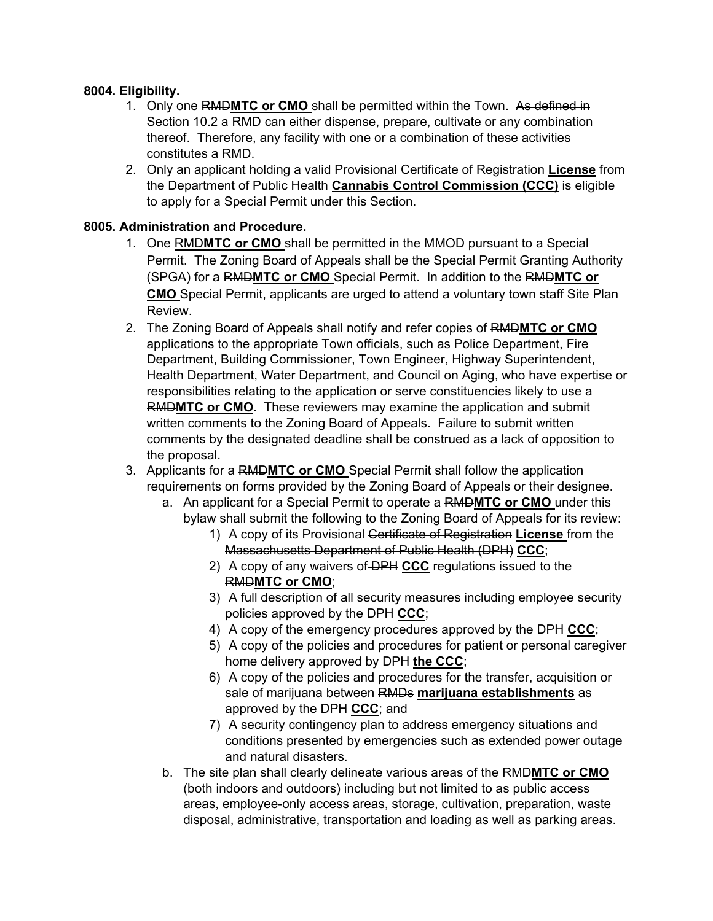## **8004. Eligibility.**

- 1. Only one RMD**MTC or CMO** shall be permitted within the Town. As defined in Section 10.2 a RMD can either dispense, prepare, cultivate or any combination thereof. Therefore, any facility with one or a combination of these activities constitutes a RMD.
- 2. Only an applicant holding a valid Provisional Certificate of Registration **License** from the Department of Public Health **Cannabis Control Commission (CCC)** is eligible to apply for a Special Permit under this Section.

## **8005. Administration and Procedure.**

- 1. One RMD**MTC or CMO** shall be permitted in the MMOD pursuant to a Special Permit. The Zoning Board of Appeals shall be the Special Permit Granting Authority (SPGA) for a RMD**MTC or CMO** Special Permit. In addition to the RMD**MTC or CMO** Special Permit, applicants are urged to attend a voluntary town staff Site Plan Review.
- 2. The Zoning Board of Appeals shall notify and refer copies of RMD**MTC or CMO**  applications to the appropriate Town officials, such as Police Department, Fire Department, Building Commissioner, Town Engineer, Highway Superintendent, Health Department, Water Department, and Council on Aging, who have expertise or responsibilities relating to the application or serve constituencies likely to use a RMD**MTC or CMO**. These reviewers may examine the application and submit written comments to the Zoning Board of Appeals. Failure to submit written comments by the designated deadline shall be construed as a lack of opposition to the proposal.
- 3. Applicants for a RMD**MTC or CMO** Special Permit shall follow the application requirements on forms provided by the Zoning Board of Appeals or their designee.
	- a. An applicant for a Special Permit to operate a RMD**MTC or CMO** under this bylaw shall submit the following to the Zoning Board of Appeals for its review:
		- 1) A copy of its Provisional Certificate of Registration **License** from the Massachusetts Department of Public Health (DPH) **CCC**;
		- 2) A copy of any waivers of DPH **CCC** regulations issued to the RMD**MTC or CMO**;
		- 3) A full description of all security measures including employee security policies approved by the DPH **CCC**;
		- 4) A copy of the emergency procedures approved by the DPH **CCC**;
		- 5) A copy of the policies and procedures for patient or personal caregiver home delivery approved by DPH **the CCC**;
		- 6) A copy of the policies and procedures for the transfer, acquisition or sale of marijuana between RMDs **marijuana establishments** as approved by the DPH **CCC**; and
		- 7) A security contingency plan to address emergency situations and conditions presented by emergencies such as extended power outage and natural disasters.
	- b. The site plan shall clearly delineate various areas of the RMD**MTC or CMO**  (both indoors and outdoors) including but not limited to as public access areas, employee-only access areas, storage, cultivation, preparation, waste disposal, administrative, transportation and loading as well as parking areas.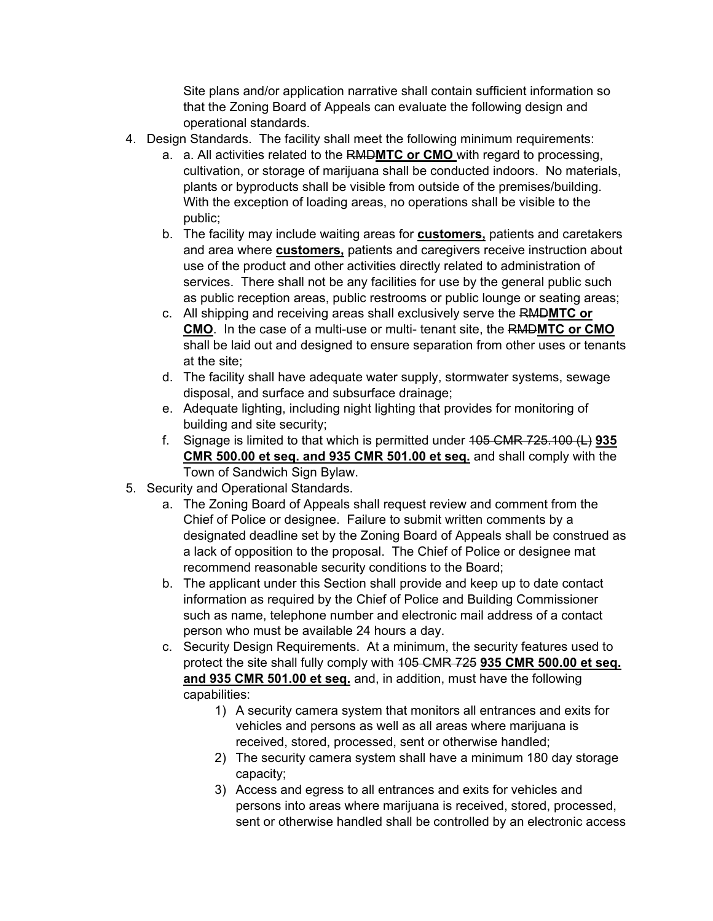Site plans and/or application narrative shall contain sufficient information so that the Zoning Board of Appeals can evaluate the following design and operational standards.

- 4. Design Standards. The facility shall meet the following minimum requirements:
	- a. a. All activities related to the RMD**MTC or CMO** with regard to processing, cultivation, or storage of marijuana shall be conducted indoors. No materials, plants or byproducts shall be visible from outside of the premises/building. With the exception of loading areas, no operations shall be visible to the public;
	- b. The facility may include waiting areas for **customers,** patients and caretakers and area where **customers,** patients and caregivers receive instruction about use of the product and other activities directly related to administration of services. There shall not be any facilities for use by the general public such as public reception areas, public restrooms or public lounge or seating areas;
	- c. All shipping and receiving areas shall exclusively serve the RMD**MTC or CMO**. In the case of a multi-use or multi- tenant site, the RMD**MTC or CMO**  shall be laid out and designed to ensure separation from other uses or tenants at the site;
	- d. The facility shall have adequate water supply, stormwater systems, sewage disposal, and surface and subsurface drainage;
	- e. Adequate lighting, including night lighting that provides for monitoring of building and site security;
	- f. Signage is limited to that which is permitted under 105 CMR 725.100 (L) **935 CMR 500.00 et seq. and 935 CMR 501.00 et seq.** and shall comply with the Town of Sandwich Sign Bylaw.
- 5. Security and Operational Standards.
	- a. The Zoning Board of Appeals shall request review and comment from the Chief of Police or designee. Failure to submit written comments by a designated deadline set by the Zoning Board of Appeals shall be construed as a lack of opposition to the proposal. The Chief of Police or designee mat recommend reasonable security conditions to the Board;
	- b. The applicant under this Section shall provide and keep up to date contact information as required by the Chief of Police and Building Commissioner such as name, telephone number and electronic mail address of a contact person who must be available 24 hours a day.
	- c. Security Design Requirements. At a minimum, the security features used to protect the site shall fully comply with 105 CMR 725 **935 CMR 500.00 et seq. and 935 CMR 501.00 et seq.** and, in addition, must have the following capabilities:
		- 1) A security camera system that monitors all entrances and exits for vehicles and persons as well as all areas where marijuana is received, stored, processed, sent or otherwise handled;
		- 2) The security camera system shall have a minimum 180 day storage capacity;
		- 3) Access and egress to all entrances and exits for vehicles and persons into areas where marijuana is received, stored, processed, sent or otherwise handled shall be controlled by an electronic access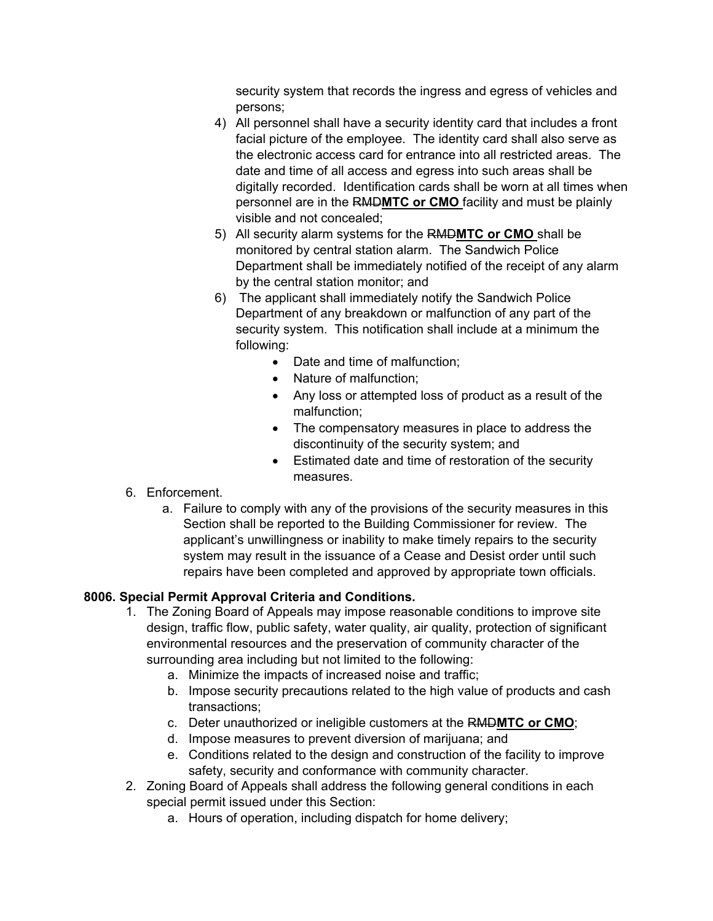security system that records the ingress and egress of vehicles and persons;

- 4) All personnel shall have a security identity card that includes a front facial picture of the employee. The identity card shall also serve as the electronic access card for entrance into all restricted areas. The date and time of all access and egress into such areas shall be digitally recorded. Identification cards shall be worn at all times when personnel are in the RMD**MTC or CMO** facility and must be plainly visible and not concealed;
- 5) All security alarm systems for the RMD**MTC or CMO** shall be monitored by central station alarm. The Sandwich Police Department shall be immediately notified of the receipt of any alarm by the central station monitor; and
- 6) The applicant shall immediately notify the Sandwich Police Department of any breakdown or malfunction of any part of the security system. This notification shall include at a minimum the following:
	- Date and time of malfunction:
	- Nature of malfunction;
	- Any loss or attempted loss of product as a result of the malfunction;
	- The compensatory measures in place to address the discontinuity of the security system; and
	- Estimated date and time of restoration of the security measures.
- 6. Enforcement.
	- a. Failure to comply with any of the provisions of the security measures in this Section shall be reported to the Building Commissioner for review. The applicant's unwillingness or inability to make timely repairs to the security system may result in the issuance of a Cease and Desist order until such repairs have been completed and approved by appropriate town officials.

# **8006. Special Permit Approval Criteria and Conditions.**

- 1. The Zoning Board of Appeals may impose reasonable conditions to improve site design, traffic flow, public safety, water quality, air quality, protection of significant environmental resources and the preservation of community character of the surrounding area including but not limited to the following:
	- a. Minimize the impacts of increased noise and traffic;
	- b. Impose security precautions related to the high value of products and cash transactions;
	- c. Deter unauthorized or ineligible customers at the RMD**MTC or CMO**;
	- d. Impose measures to prevent diversion of marijuana; and
	- e. Conditions related to the design and construction of the facility to improve safety, security and conformance with community character.
- 2. Zoning Board of Appeals shall address the following general conditions in each special permit issued under this Section:
	- a. Hours of operation, including dispatch for home delivery;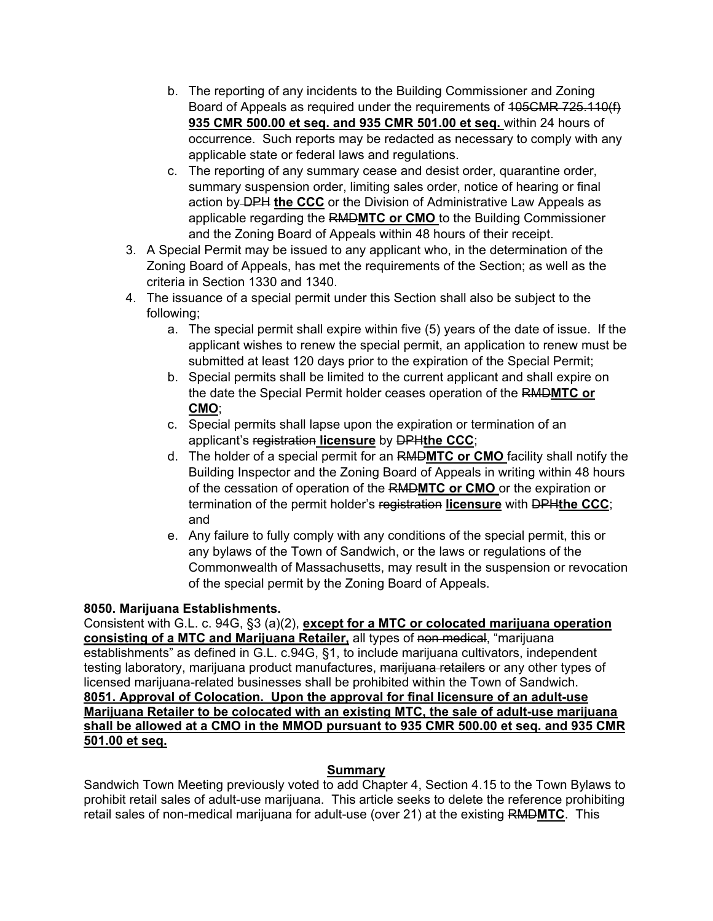- b. The reporting of any incidents to the Building Commissioner and Zoning Board of Appeals as required under the requirements of 105CMR 725.110(f) **935 CMR 500.00 et seq. and 935 CMR 501.00 et seq.** within 24 hours of occurrence. Such reports may be redacted as necessary to comply with any applicable state or federal laws and regulations.
- c. The reporting of any summary cease and desist order, quarantine order, summary suspension order, limiting sales order, notice of hearing or final action by DPH **the CCC** or the Division of Administrative Law Appeals as applicable regarding the RMD**MTC or CMO** to the Building Commissioner and the Zoning Board of Appeals within 48 hours of their receipt.
- 3. A Special Permit may be issued to any applicant who, in the determination of the Zoning Board of Appeals, has met the requirements of the Section; as well as the criteria in Section 1330 and 1340.
- 4. The issuance of a special permit under this Section shall also be subject to the following;
	- a. The special permit shall expire within five (5) years of the date of issue. If the applicant wishes to renew the special permit, an application to renew must be submitted at least 120 days prior to the expiration of the Special Permit;
	- b. Special permits shall be limited to the current applicant and shall expire on the date the Special Permit holder ceases operation of the RMD**MTC or CMO**;
	- c. Special permits shall lapse upon the expiration or termination of an applicant's registration **licensure** by DPH**the CCC**;
	- d. The holder of a special permit for an RMD**MTC or CMO** facility shall notify the Building Inspector and the Zoning Board of Appeals in writing within 48 hours of the cessation of operation of the RMD**MTC or CMO** or the expiration or termination of the permit holder's registration **licensure** with DPH**the CCC**; and
	- e. Any failure to fully comply with any conditions of the special permit, this or any bylaws of the Town of Sandwich, or the laws or regulations of the Commonwealth of Massachusetts, may result in the suspension or revocation of the special permit by the Zoning Board of Appeals.

# **8050. Marijuana Establishments.**

Consistent with G.L. c. 94G, §3 (a)(2), **except for a MTC or colocated marijuana operation consisting of a MTC and Marijuana Retailer,** all types of non medical, "marijuana establishments" as defined in G.L. c.94G, §1, to include marijuana cultivators, independent testing laboratory, marijuana product manufactures, <del>marijuana retailers</del> or any other types of licensed marijuana-related businesses shall be prohibited within the Town of Sandwich. **8051. Approval of Colocation. Upon the approval for final licensure of an adult-use Marijuana Retailer to be colocated with an existing MTC, the sale of adult-use marijuana shall be allowed at a CMO in the MMOD pursuant to 935 CMR 500.00 et seq. and 935 CMR 501.00 et seq.** 

# **Summary**

Sandwich Town Meeting previously voted to add Chapter 4, Section 4.15 to the Town Bylaws to prohibit retail sales of adult-use marijuana. This article seeks to delete the reference prohibiting retail sales of non-medical marijuana for adult-use (over 21) at the existing RMD**MTC**. This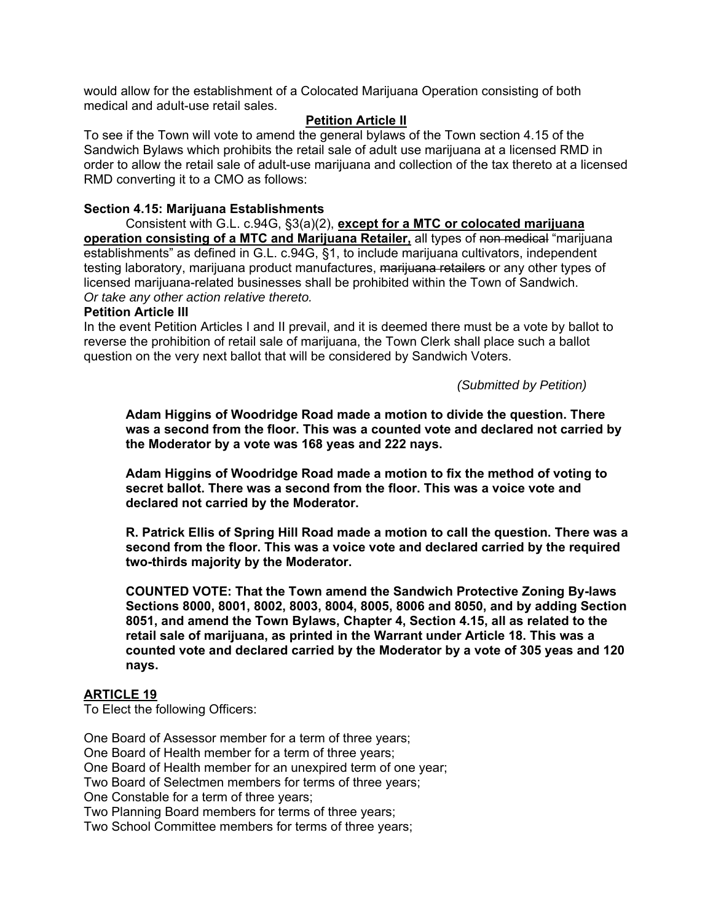would allow for the establishment of a Colocated Marijuana Operation consisting of both medical and adult-use retail sales.

#### **Petition Article II**

To see if the Town will vote to amend the general bylaws of the Town section 4.15 of the Sandwich Bylaws which prohibits the retail sale of adult use marijuana at a licensed RMD in order to allow the retail sale of adult-use marijuana and collection of the tax thereto at a licensed RMD converting it to a CMO as follows:

#### **Section 4.15: Marijuana Establishments**

 Consistent with G.L. c.94G, §3(a)(2), **except for a MTC or colocated marijuana operation consisting of a MTC and Marijuana Retailer,** all types of non medical "marijuana establishments" as defined in G.L. c.94G, §1, to include marijuana cultivators, independent testing laboratory, marijuana product manufactures, marijuana retailers or any other types of licensed marijuana-related businesses shall be prohibited within the Town of Sandwich. *Or take any other action relative thereto.* 

#### **Petition Article III**

In the event Petition Articles I and II prevail, and it is deemed there must be a vote by ballot to reverse the prohibition of retail sale of marijuana, the Town Clerk shall place such a ballot question on the very next ballot that will be considered by Sandwich Voters.

*(Submitted by Petition)* 

**Adam Higgins of Woodridge Road made a motion to divide the question. There was a second from the floor. This was a counted vote and declared not carried by the Moderator by a vote was 168 yeas and 222 nays.** 

**Adam Higgins of Woodridge Road made a motion to fix the method of voting to secret ballot. There was a second from the floor. This was a voice vote and declared not carried by the Moderator.** 

**R. Patrick Ellis of Spring Hill Road made a motion to call the question. There was a second from the floor. This was a voice vote and declared carried by the required two-thirds majority by the Moderator.** 

**COUNTED VOTE: That the Town amend the Sandwich Protective Zoning By-laws Sections 8000, 8001, 8002, 8003, 8004, 8005, 8006 and 8050, and by adding Section 8051, and amend the Town Bylaws, Chapter 4, Section 4.15, all as related to the retail sale of marijuana, as printed in the Warrant under Article 18. This was a counted vote and declared carried by the Moderator by a vote of 305 yeas and 120 nays.** 

## **ARTICLE 19**

To Elect the following Officers:

One Board of Assessor member for a term of three years;

One Board of Health member for a term of three years;

One Board of Health member for an unexpired term of one year;

Two Board of Selectmen members for terms of three years;

One Constable for a term of three years;

Two Planning Board members for terms of three years;

Two School Committee members for terms of three years;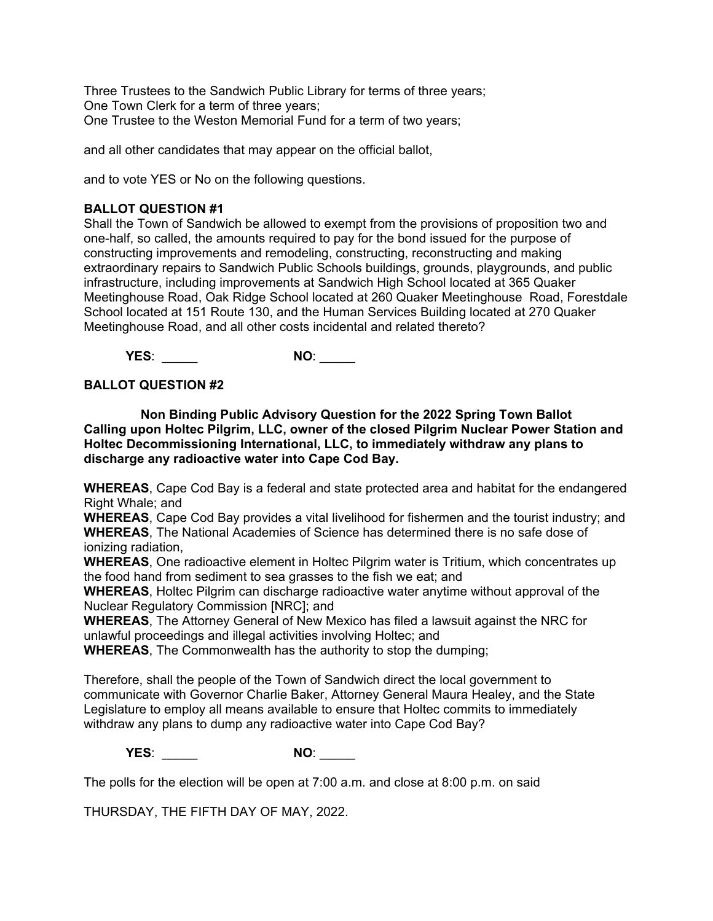Three Trustees to the Sandwich Public Library for terms of three years; One Town Clerk for a term of three years; One Trustee to the Weston Memorial Fund for a term of two years;

and all other candidates that may appear on the official ballot,

and to vote YES or No on the following questions.

#### **BALLOT QUESTION #1**

Shall the Town of Sandwich be allowed to exempt from the provisions of proposition two and one-half, so called, the amounts required to pay for the bond issued for the purpose of constructing improvements and remodeling, constructing, reconstructing and making extraordinary repairs to Sandwich Public Schools buildings, grounds, playgrounds, and public infrastructure, including improvements at Sandwich High School located at 365 Quaker Meetinghouse Road, Oak Ridge School located at 260 Quaker Meetinghouse Road, Forestdale School located at 151 Route 130, and the Human Services Building located at 270 Quaker Meetinghouse Road, and all other costs incidental and related thereto?

**YES**: \_\_\_\_\_ **NO**: \_\_\_\_\_

#### **BALLOT QUESTION #2**

**Non Binding Public Advisory Question for the 2022 Spring Town Ballot Calling upon Holtec Pilgrim, LLC, owner of the closed Pilgrim Nuclear Power Station and Holtec Decommissioning International, LLC, to immediately withdraw any plans to discharge any radioactive water into Cape Cod Bay.** 

**WHEREAS**, Cape Cod Bay is a federal and state protected area and habitat for the endangered Right Whale; and

**WHEREAS**, Cape Cod Bay provides a vital livelihood for fishermen and the tourist industry; and **WHEREAS**, The National Academies of Science has determined there is no safe dose of ionizing radiation,

**WHEREAS**, One radioactive element in Holtec Pilgrim water is Tritium, which concentrates up the food hand from sediment to sea grasses to the fish we eat; and

**WHEREAS**, Holtec Pilgrim can discharge radioactive water anytime without approval of the Nuclear Regulatory Commission [NRC]; and

**WHEREAS**, The Attorney General of New Mexico has filed a lawsuit against the NRC for unlawful proceedings and illegal activities involving Holtec; and

**WHEREAS**, The Commonwealth has the authority to stop the dumping;

Therefore, shall the people of the Town of Sandwich direct the local government to communicate with Governor Charlie Baker, Attorney General Maura Healey, and the State Legislature to employ all means available to ensure that Holtec commits to immediately withdraw any plans to dump any radioactive water into Cape Cod Bay?

**YES**: \_\_\_\_\_ **NO**: \_\_\_\_\_

The polls for the election will be open at 7:00 a.m. and close at 8:00 p.m. on said

THURSDAY, THE FIFTH DAY OF MAY, 2022.